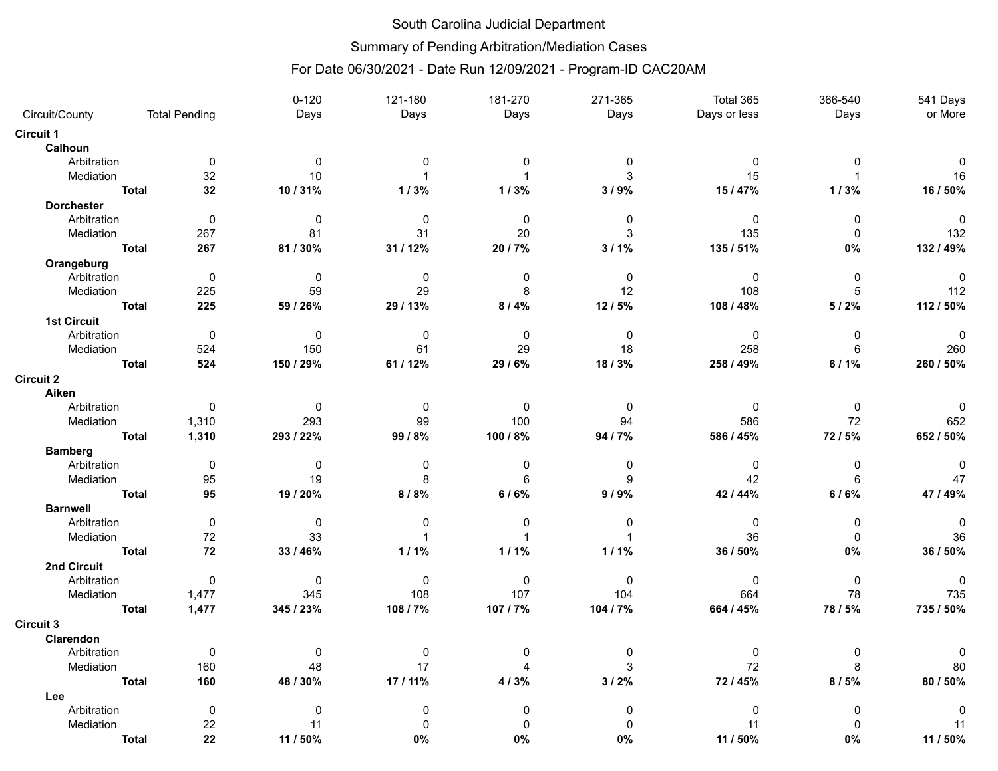## South Carolina Judicial Department

Summary of Pending Arbitration/Mediation Cases

## For Date 06/30/2021 - Date Run 12/09/2021 - Program-ID CAC20AM

|                    |              |                      | $0 - 120$      | 121-180        | 181-270         | 271-365      | Total 365    | 366-540      | 541 Days     |
|--------------------|--------------|----------------------|----------------|----------------|-----------------|--------------|--------------|--------------|--------------|
| Circuit/County     |              | <b>Total Pending</b> | Days           | Days           | Days            | Days         | Days or less | Days         | or More      |
| Circuit 1          |              |                      |                |                |                 |              |              |              |              |
| Calhoun            |              |                      |                |                |                 |              |              |              |              |
| Arbitration        |              | $\mathbf 0$          | $\Omega$       | $\Omega$       | $\Omega$        | $\Omega$     | $\mathbf{0}$ | $\Omega$     | $\Omega$     |
| Mediation          |              | 32                   | 10             | $\mathbf{1}$   | 1               | 3            | 15           |              | 16           |
|                    | <b>Total</b> | 32                   | 10/31%         | 1/3%           | 1/3%            | 3/9%         | 15/47%       | 1/3%         | 16 / 50%     |
| <b>Dorchester</b>  |              |                      |                |                |                 |              |              |              |              |
| Arbitration        |              | $\mathbf 0$          | $\Omega$       | $\Omega$       | $\Omega$        | $\Omega$     | $\mathbf{0}$ | $\Omega$     | $\Omega$     |
| Mediation          |              | 267                  | 81             | 31             | 20              | 3            | 135          | $\Omega$     | 132          |
|                    | <b>Total</b> | 267                  | 81/30%         | 31 / 12%       | 20 / 7%         | $3/1\%$      | 135 / 51%    | 0%           | 132 / 49%    |
| Orangeburg         |              |                      |                |                |                 |              |              |              |              |
| Arbitration        |              | $\mathbf 0$          | $\mathbf{0}$   | $\mathbf 0$    | $\mathbf 0$     | $\mathbf 0$  | $\mathbf 0$  | $\mathbf 0$  | $\mathbf 0$  |
| Mediation          |              | 225                  | 59             | 29             | 8               | 12           | 108          | 5            | 112          |
|                    | <b>Total</b> | 225                  | 59 / 26%       | 29 / 13%       | 8/4%            | 12/5%        | 108 / 48%    | 5/2%         | 112 / 50%    |
| <b>1st Circuit</b> |              |                      |                |                |                 |              |              |              |              |
| Arbitration        |              | $\overline{0}$       | $\mathbf{0}$   | $\mathbf{0}$   | $\Omega$        | $\mathbf 0$  | $\mathbf 0$  | $\mathbf 0$  | $\Omega$     |
| Mediation          |              | 524                  | 150            | 61             | 29              | 18           | 258          | 6            | 260          |
|                    | <b>Total</b> | 524                  | 150 / 29%      | 61 / 12%       | 29/6%           | 18/3%        | 258 / 49%    | 6/1%         | 260 / 50%    |
| <b>Circuit 2</b>   |              |                      |                |                |                 |              |              |              |              |
| Aiken              |              |                      |                |                |                 |              |              |              |              |
| Arbitration        |              | $\mathbf 0$          | $\overline{0}$ | $\mathbf 0$    | 0               | $\Omega$     | $\mathbf 0$  | $\Omega$     | $\Omega$     |
| Mediation          |              | 1,310                | 293            | 99             | 100             | 94           | 586          | 72           | 652          |
|                    | <b>Total</b> | 1,310                | 293 / 22%      | 99/8%          | 100 / 8%        | 94/7%        | 586 / 45%    | 72 / 5%      | 652 / 50%    |
| <b>Bamberg</b>     |              |                      |                |                |                 |              |              |              |              |
| Arbitration        |              | $\mathbf 0$          | $\Omega$       | $\Omega$       | 0               | $\mathbf 0$  | $\mathbf{0}$ | $\Omega$     | $\Omega$     |
| Mediation          |              | 95                   | 19             | 8              | $6\phantom{1}6$ | 9            | 42           | 6            | 47           |
|                    | <b>Total</b> | 95                   | 19 / 20%       | 8/8%           | 6/6%            | 9/9%         | 42 / 44%     | 6/6%         | 47 / 49%     |
| <b>Barnwell</b>    |              |                      |                |                |                 |              |              |              |              |
| Arbitration        |              | $\mathbf 0$          | $\mathbf 0$    | $\Omega$       | 0               | $\mathbf{0}$ | $\mathbf 0$  | 0            | $\Omega$     |
| Mediation          |              | 72                   | 33             | $\overline{1}$ | $\mathbf{1}$    | $\mathbf{1}$ | 36           | $\mathbf{0}$ | 36           |
|                    | <b>Total</b> | 72                   | 33/46%         | 1/1%           | 1/1%            | 1/1%         | 36 / 50%     | $0\%$        | 36 / 50%     |
| 2nd Circuit        |              |                      |                |                |                 |              |              |              |              |
| Arbitration        |              | $\mathbf 0$          | $\mathbf 0$    | $\mathbf 0$    | $\Omega$        | $\mathbf{0}$ | $\mathbf{0}$ | $\mathbf{0}$ | $\mathbf{0}$ |
| Mediation          |              | 1,477                | 345            | 108            | 107             | 104          | 664          | 78           | 735          |
|                    | <b>Total</b> | 1,477                | 345 / 23%      | 108 / 7%       | 107/7%          | 104 / 7%     | 664 / 45%    | 78 / 5%      | 735 / 50%    |
| Circuit 3          |              |                      |                |                |                 |              |              |              |              |
| Clarendon          |              |                      |                |                |                 |              |              |              |              |
| Arbitration        |              | 0                    | $\mathbf 0$    | 0              | 0               | 0            | 0            | $\mathbf 0$  | $\Omega$     |
| Mediation          |              | 160                  | 48             | 17             | 4               | 3            | 72           | 8            | 80           |
|                    | <b>Total</b> | 160                  | 48 / 30%       | 17 / 11%       | 4/3%            | 3/2%         | 72 / 45%     | 8/5%         | 80 / 50%     |
| Lee                |              |                      |                |                |                 |              |              |              |              |
| Arbitration        |              | $\mathbf 0$          | $\mathbf{0}$   | $\Omega$       | 0               | $\mathbf{0}$ | $\mathbf{0}$ | $\mathbf{0}$ | $\Omega$     |
| Mediation          |              | 22                   | 11             | 0              | $\mathbf 0$     | $\mathbf 0$  | 11           | $\Omega$     | 11           |
|                    | <b>Total</b> | 22                   | 11 / 50%       | $0\%$          | 0%              | 0%           | 11 / 50%     | 0%           | 11 / 50%     |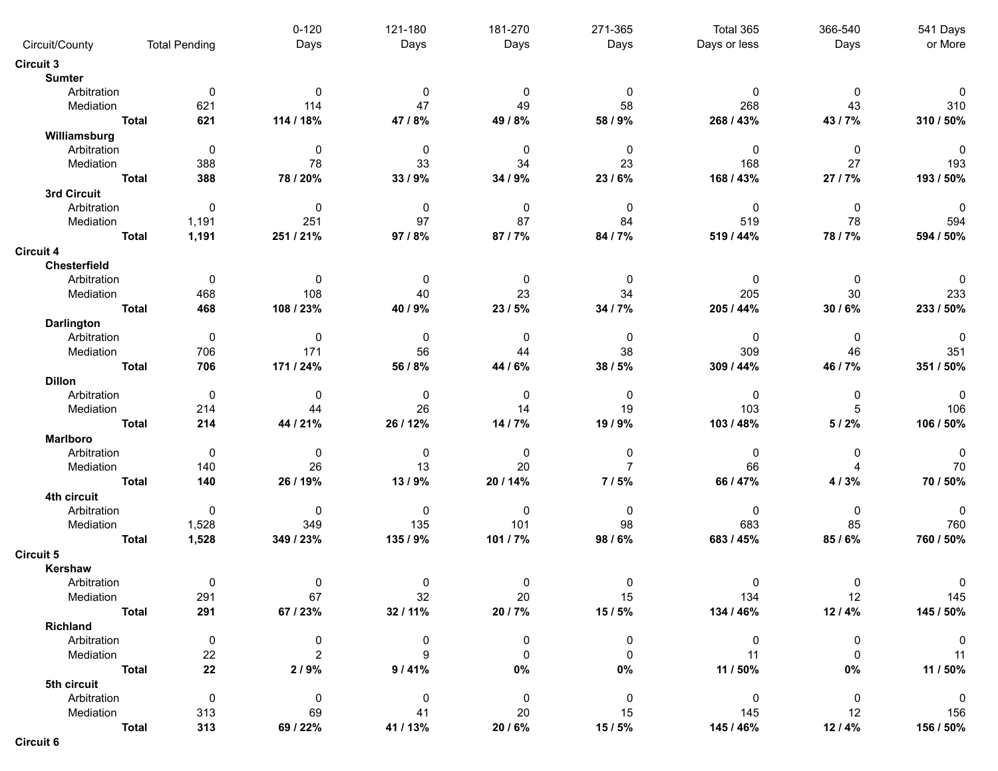|                         |              |                      | $0 - 120$      | 121-180     | 181-270     | 271-365        | Total 365    | 366-540                | 541 Days                |
|-------------------------|--------------|----------------------|----------------|-------------|-------------|----------------|--------------|------------------------|-------------------------|
| Circuit/County          |              | <b>Total Pending</b> | Days           | Days        | Days        | Days           | Days or less | Days                   | or More                 |
| <b>Circuit 3</b>        |              |                      |                |             |             |                |              |                        |                         |
| <b>Sumter</b>           |              |                      |                |             |             |                |              |                        |                         |
| Arbitration             |              | 0                    | $\Omega$       | 0           | 0           | 0              | 0            | 0                      | $\Omega$                |
| Mediation               |              | 621                  | 114            | 47          | 49          | 58             | 268          | 43                     | 310                     |
|                         | <b>Total</b> | 621                  | 114 / 18%      | 47/8%       | 49 / 8%     | 58 / 9%        | 268 / 43%    | 43 / 7%                | 310 / 50%               |
| Williamsburg            |              |                      |                |             |             |                |              |                        |                         |
| Arbitration             |              | $\mathbf 0$          | $\mathbf{0}$   | 0           | 0           | $\mathbf{0}$   | $\mathbf 0$  | $\mathbf 0$            | $\mathbf 0$             |
| Mediation               |              | 388                  | 78             | 33          | 34          | 23             | 168          | 27                     | 193                     |
|                         | <b>Total</b> | 388                  | 78 / 20%       | 33 / 9%     | 34 / 9%     | 23/6%          | 168 / 43%    | 27 / 7%                | 193 / 50%               |
| 3rd Circuit             |              |                      |                |             |             |                |              |                        |                         |
| Arbitration             |              | 0                    | $\mathbf 0$    | 0           | 0           | $\mathbf 0$    | $\mathbf 0$  | $\mathbf 0$            | $\mathbf 0$             |
| Mediation               |              | 1,191                | 251            | 97          | 87          | 84             | 519          | 78                     | 594                     |
|                         | <b>Total</b> | 1,191                | 251 / 21%      | 97 / 8%     | 87/7%       | 84 / 7%        | 519 / 44%    | 78/7%                  | 594 / 50%               |
| <b>Circuit 4</b>        |              |                      |                |             |             |                |              |                        |                         |
| Chesterfield            |              |                      |                |             |             |                |              |                        |                         |
| Arbitration             |              | 0                    | 0              | 0           | 0           | 0              | 0            | 0                      | $\Omega$                |
|                         |              |                      | 108            | 40          | 23          | 34             | 205          | 30                     | 233                     |
| Mediation               |              | 468                  |                |             |             |                |              |                        |                         |
|                         | <b>Total</b> | 468                  | 108 / 23%      | 40 / 9%     | 23 / 5%     | 34 / 7%        | 205 / 44%    | 30 / 6%                | 233 / 50%               |
| <b>Darlington</b>       |              |                      |                |             |             |                |              |                        |                         |
| Arbitration             |              | 0                    | 0              | 0           | 0           | 0              | 0            | 0                      | 0                       |
| Mediation               |              | 706                  | 171            | 56          | 44          | 38             | 309          | 46                     | 351                     |
|                         | <b>Total</b> | 706                  | 171 / 24%      | 56 / 8%     | 44 / 6%     | 38 / 5%        | 309 / 44%    | 46 / 7%                | 351 / 50%               |
| <b>Dillon</b>           |              |                      |                |             |             |                |              |                        |                         |
| Arbitration             |              | $\mathbf 0$          | 0              | 0           | 0           | $\mathbf 0$    | $\mathbf 0$  | 0                      | $\Omega$                |
| Mediation               |              | 214                  | 44             | 26          | 14          | 19             | 103          | 5                      | 106                     |
|                         | <b>Total</b> | 214                  | 44 / 21%       | 26 / 12%    | 14 / 7%     | 19 / 9%        | 103 / 48%    | 5/2%                   | 106 / 50%               |
| <b>Marlboro</b>         |              |                      |                |             |             |                |              |                        |                         |
| Arbitration             |              | 0                    | $\mathbf{0}$   | 0           | 0           | 0              | 0            | 0                      | $\mathbf 0$             |
| Mediation               |              | 140                  | 26             | 13          | 20          | $\overline{7}$ | 66           | $\boldsymbol{\Lambda}$ | 70                      |
|                         | <b>Total</b> | 140                  | 26 / 19%       | 13/9%       | 20 / 14%    | 7/5%           | 66 / 47%     | 4/3%                   | 70 / 50%                |
| 4th circuit             |              |                      |                |             |             |                |              |                        |                         |
| Arbitration             |              | $\pmb{0}$            | $\mathbf 0$    | 0           | 0           | $\mathbf 0$    | 0            | $\mathbf 0$            | $\mathbf{0}$            |
| Mediation               |              | 1,528                | 349            | 135         | 101         | 98             | 683          | 85                     | 760                     |
|                         | <b>Total</b> | 1,528                | 349 / 23%      | 135 / 9%    | 101 / 7%    | 98 / 6%        | 683 / 45%    | 85/6%                  | 760 / 50%               |
| <b>Circuit 5</b>        |              |                      |                |             |             |                |              |                        |                         |
| Kershaw                 |              |                      |                |             |             |                |              |                        |                         |
| Arbitration             |              | $\mathbf{0}$         | $\overline{0}$ | $\Omega$    | $\Omega$    | $\Omega$       | $\Omega$     | $\Omega$               |                         |
| Mediation               |              | 291                  | 67             | 32          | 20          | 15             | 134          | 12                     | 145                     |
|                         | <b>Total</b> | 291                  | 67 / 23%       | 32/11%      | 20 / 7%     | 15/5%          | 134 / 46%    | 12/4%                  | 145 / 50%               |
|                         |              |                      |                |             |             |                |              |                        |                         |
| Richland<br>Arbitration |              |                      |                |             |             |                |              |                        |                         |
|                         |              | $\mathbf 0$          | $\mathbf 0$    | 0           | 0           | 0              | 0            | $\mathbf 0$            | $\overline{0}$          |
| Mediation               |              | 22                   | $\overline{2}$ | 9           | 0           | $\Omega$       | 11           | $\mathbf{0}$           | 11                      |
|                         | <b>Total</b> | 22                   | 2/9%           | 9/41%       | $0\%$       | 0%             | 11 / 50%     | $0\%$                  | 11 / 50%                |
| 5th circuit             |              |                      |                |             |             |                |              |                        |                         |
| Arbitration             |              | $\mathbf 0$          | $\overline{0}$ | $\mathbf 0$ | $\mathbf 0$ | 0              | $\mathbf 0$  | $\overline{0}$         | $\overline{\mathbf{0}}$ |
| Mediation               |              | 313                  | 69             | 41          | 20          | 15             | 145          | 12                     | 156                     |
|                         | <b>Total</b> | 313                  | 69 / 22%       | 41 / 13%    | 20 / 6%     | 15/5%          | 145 / 46%    | 12/4%                  | 156 / 50%               |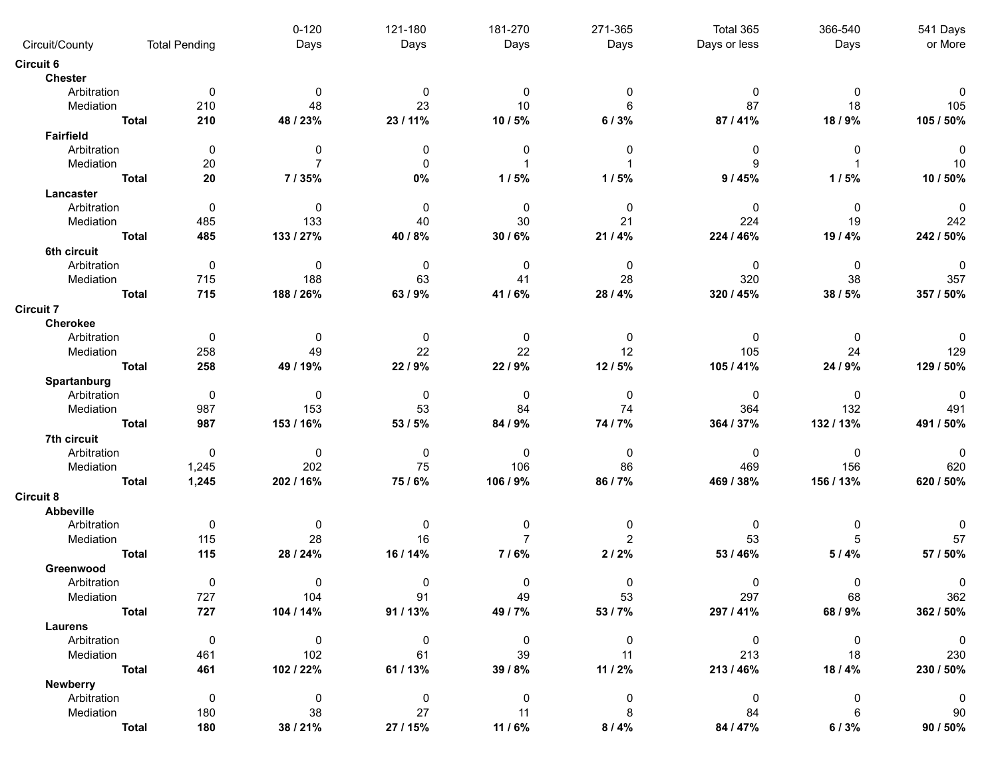| Circuit/County                  |              | <b>Total Pending</b> | $0 - 120$<br>Days | 121-180<br>Days | 181-270<br>Days | 271-365<br>Days | Total 365<br>Days or less | 366-540<br>Days | 541 Days<br>or More      |
|---------------------------------|--------------|----------------------|-------------------|-----------------|-----------------|-----------------|---------------------------|-----------------|--------------------------|
| <b>Circuit 6</b>                |              |                      |                   |                 |                 |                 |                           |                 |                          |
| <b>Chester</b>                  |              |                      |                   |                 |                 |                 |                           |                 |                          |
| Arbitration                     |              | 0                    | $\mathbf{0}$      | 0               | 0               | $\Omega$        | $\Omega$                  | $\mathbf{0}$    | 0                        |
| Mediation                       |              | 210                  | 48                | 23              | 10              | 6               | 87                        | 18              | 105                      |
|                                 | <b>Total</b> | 210                  | 48 / 23%          | 23 / 11%        | 10 / 5%         | 6/3%            | 87/41%                    | 18/9%           | 105 / 50%                |
|                                 |              |                      |                   |                 |                 |                 |                           |                 |                          |
| <b>Fairfield</b><br>Arbitration |              | 0                    | 0                 | 0               | 0               | 0               | 0                         | $\Omega$        | 0                        |
| Mediation                       |              |                      |                   | $\Omega$        |                 |                 | 9                         |                 | 10                       |
|                                 |              | 20                   |                   |                 |                 |                 |                           |                 |                          |
|                                 | <b>Total</b> | 20                   | 7/35%             | 0%              | 1/5%            | 1/5%            | 9/45%                     | 1/5%            | 10 / 50%                 |
| Lancaster                       |              |                      |                   |                 |                 |                 |                           |                 |                          |
| Arbitration                     |              | 0                    | 0                 | 0               | 0               | 0               | 0                         | 0               | $\pmb{0}$                |
| Mediation                       |              | 485                  | 133               | 40              | 30              | 21              | 224                       | 19              | 242                      |
|                                 | <b>Total</b> | 485                  | 133 / 27%         | 40 / 8%         | 30 / 6%         | 21/4%           | 224 / 46%                 | 19/4%           | 242 / 50%                |
| 6th circuit                     |              |                      |                   |                 |                 |                 |                           |                 |                          |
| Arbitration                     |              | $\mathbf 0$          | 0                 | 0               | 0               | 0               | 0                         | 0               | $\pmb{0}$                |
| Mediation                       |              | 715                  | 188               | 63              | 41              | 28              | 320                       | 38              | 357                      |
|                                 | <b>Total</b> | 715                  | 188 / 26%         | 63/9%           | 41/6%           | 28 / 4%         | 320 / 45%                 | 38 / 5%         | 357 / 50%                |
| <b>Circuit 7</b>                |              |                      |                   |                 |                 |                 |                           |                 |                          |
| Cherokee                        |              |                      |                   |                 |                 |                 |                           |                 |                          |
| Arbitration                     |              | 0                    | 0                 | 0               | 0               | 0               | 0                         | 0               | 0                        |
| Mediation                       |              | 258                  | 49                | 22              | 22              | 12              | 105                       | 24              | 129                      |
|                                 | <b>Total</b> | 258                  | 49 / 19%          | 22/9%           | 22 / 9%         | 12/5%           | 105 / 41%                 | 24 / 9%         | 129 / 50%                |
| Spartanburg                     |              |                      |                   |                 |                 |                 |                           |                 |                          |
| Arbitration                     |              | $\mathbf 0$          | 0                 | 0               | 0               | 0               | 0                         | 0               | 0                        |
| Mediation                       |              | 987                  | 153               | 53              | 84              | 74              | 364                       | 132             | 491                      |
|                                 | <b>Total</b> | 987                  | 153 / 16%         | 53 / 5%         | 84 / 9%         | 74 / 7%         | 364 / 37%                 | 132/13%         | 491 / 50%                |
| 7th circuit                     |              |                      |                   |                 |                 |                 |                           |                 |                          |
| Arbitration                     |              | 0                    | $\mathbf{0}$      | 0               | 0               | 0               | 0                         | 0               | 0                        |
| Mediation                       |              | 1,245                | 202               | 75              | 106             | 86              | 469                       | 156             | 620                      |
|                                 | <b>Total</b> | 1,245                | 202 / 16%         | 75/6%           | 106 / 9%        | 86 / 7%         | 469 / 38%                 | 156 / 13%       | 620 / 50%                |
|                                 |              |                      |                   |                 |                 |                 |                           |                 |                          |
| <b>Circuit 8</b>                |              |                      |                   |                 |                 |                 |                           |                 |                          |
| Abbeville                       |              |                      |                   |                 |                 |                 |                           |                 |                          |
| Arbitration                     |              | $\mathbf 0$          | 0                 | 0               | 0               | 0               | 0                         | 0               | 0                        |
| Mediation                       |              | 115                  | 28                | 16              | $\overline{7}$  | $\overline{c}$  | 53                        | 5               | 57                       |
|                                 | <b>Total</b> | 115                  | 28 / 24%          | 16 / 14%        | 7/6%            | 2/2%            | 53 / 46%                  | 5/4%            | 57 / 50%                 |
| Greenwood                       |              |                      |                   |                 |                 |                 |                           |                 |                          |
| Arbitration                     |              | $\mathbf{0}$         | $\mathbf 0$       | $\Omega$        | $\Omega$        | $\Omega$        | $\mathbf 0$               | $\Omega$        |                          |
| Mediation                       |              | 727                  | 104               | 91              | 49              | 53              | 297                       | 68              | 362                      |
|                                 | <b>Total</b> | 727                  | 104 / 14%         | 91 / 13%        | 49 / 7%         | 53 / 7%         | 297 / 41%                 | 68 / 9%         | 362 / 50%                |
| Laurens                         |              |                      |                   |                 |                 |                 |                           |                 |                          |
| Arbitration                     |              | $\mathbf 0$          | $\overline{0}$    | 0               | $\mathbf 0$     | $\mathbf 0$     | $\overline{\mathbf{0}}$   | $\overline{0}$  | $\overline{\phantom{0}}$ |
| Mediation                       |              | 461                  | 102               | 61              | 39              | 11              | 213                       | 18              | 230                      |
|                                 | <b>Total</b> | 461                  | 102 / 22%         | 61 / 13%        | 39 / 8%         | 11 / 2%         | 213/46%                   | 18 / 4%         | 230 / 50%                |
| Newberry                        |              |                      |                   |                 |                 |                 |                           |                 |                          |
| Arbitration                     |              | $\mathbf 0$          | $\overline{0}$    | $\mathbf 0$     | $\mathbf 0$     | 0               | $\mathbf 0$               | $\mathbf 0$     | $\overline{0}$           |
| Mediation                       |              | 180                  | 38                | 27              | 11              | 8               | 84                        | 6               | 90                       |
|                                 | <b>Total</b> | 180                  | 38 / 21%          | 27 / 15%        | 11 / 6%         | 8/4%            | 84 / 47%                  | 6/3%            | 90 / 50%                 |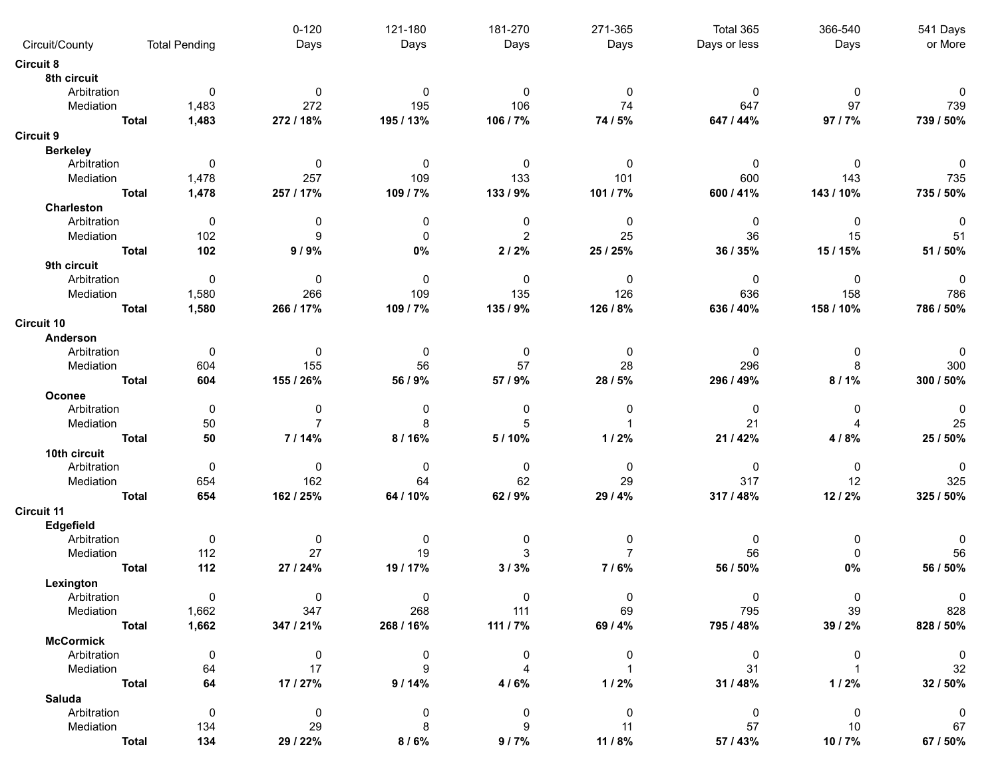|                       |              |                      | $0 - 120$      | 121-180     | 181-270        | 271-365        | Total 365    | 366-540      | 541 Days    |
|-----------------------|--------------|----------------------|----------------|-------------|----------------|----------------|--------------|--------------|-------------|
| Circuit/County        |              | <b>Total Pending</b> | Days           | Days        | Days           | Days           | Days or less | Days         | or More     |
| <b>Circuit 8</b>      |              |                      |                |             |                |                |              |              |             |
| 8th circuit           |              |                      |                |             |                |                |              |              |             |
| Arbitration           |              | 0                    | $\mathbf{0}$   | 0           | 0              | $\Omega$       | 0            | $\Omega$     | 0           |
| Mediation             |              | 1,483                | 272            | 195         | 106            | 74             | 647          | 97           | 739         |
|                       | <b>Total</b> | 1,483                | 272 / 18%      | 195 / 13%   | 106 / 7%       | 74 / 5%        | 647 / 44%    | 97 / 7%      | 739 / 50%   |
| <b>Circuit 9</b>      |              |                      |                |             |                |                |              |              |             |
| <b>Berkeley</b>       |              |                      |                |             |                |                |              |              |             |
| Arbitration           |              | 0                    | $\mathbf 0$    | 0           | 0              | 0              | $\mathbf 0$  | $\mathbf{0}$ | 0           |
| Mediation             |              | 1,478                | 257            | 109         | 133            | 101            | 600          | 143          | 735         |
|                       | <b>Total</b> | 1,478                | 257 / 17%      | 109 / 7%    | 133 / 9%       | 101 / 7%       | 600 / 41%    | 143 / 10%    | 735 / 50%   |
| <b>Charleston</b>     |              |                      |                |             |                |                |              |              |             |
| Arbitration           |              | 0                    | 0              | $\mathbf 0$ | 0              | 0              | $\mathbf 0$  | $\mathbf{0}$ | 0           |
| Mediation             |              | 102                  | 9              | $\mathbf 0$ | 2              | 25             | 36           | 15           | 51          |
|                       | <b>Total</b> | 102                  | 9/9%           | 0%          | 2/2%           | 25 / 25%       | 36 / 35%     | 15 / 15%     | 51 / 50%    |
| 9th circuit           |              |                      |                |             |                |                |              |              |             |
| Arbitration           |              | 0                    | $\mathbf 0$    | 0           | 0              | 0              | 0            | 0            | 0           |
| Mediation             |              | 1,580                | 266            | 109         | 135            | 126            | 636          | 158          | 786         |
|                       | <b>Total</b> | 1,580                | 266 / 17%      | 109 / 7%    | 135 / 9%       | 126 / 8%       | 636 / 40%    | 158 / 10%    | 786 / 50%   |
| <b>Circuit 10</b>     |              |                      |                |             |                |                |              |              |             |
| Anderson              |              |                      |                |             |                |                |              |              |             |
| Arbitration           |              | 0                    | $\mathbf 0$    | 0           | 0              | 0              | 0            | 0            | 0           |
| Mediation             |              | 604                  | 155            | 56          | 57             | 28             | 296          | 8            | 300         |
|                       | <b>Total</b> | 604                  | 155 / 26%      | 56 / 9%     | 57 / 9%        | 28 / 5%        | 296 / 49%    | $8/1\%$      | 300 / 50%   |
|                       |              |                      |                |             |                |                |              |              |             |
| Oconee<br>Arbitration |              | 0                    | 0              | 0           | 0              | $\Omega$       | $\mathbf 0$  | $\mathbf{0}$ | 0           |
| Mediation             |              | 50                   | $\overline{7}$ | 8           | 5              |                | 21           |              | 25          |
|                       |              | 50                   | 7/14%          |             | 5/10%          |                |              |              | 25 / 50%    |
|                       | <b>Total</b> |                      |                | 8/16%       |                | 1/2%           | 21 / 42%     | 4/8%         |             |
| 10th circuit          |              |                      |                |             |                |                |              |              |             |
| Arbitration           |              | 0                    | $\mathbf 0$    | 0           | 0              | 0              | 0            | $\mathbf{0}$ | 0           |
| Mediation             |              | 654                  | 162            | 64          | 62             | 29             | 317          | 12           | 325         |
|                       | <b>Total</b> | 654                  | 162 / 25%      | 64 / 10%    | 62 / 9%        | 29 / 4%        | 317 / 48%    | 12/2%        | 325 / 50%   |
| <b>Circuit 11</b>     |              |                      |                |             |                |                |              |              |             |
| Edgefield             |              |                      |                |             |                |                |              |              |             |
| Arbitration           |              | 0                    | 0              | 0           | 0              | 0              | 0            | 0            |             |
| Mediation             |              | 112                  | 27             | 19          | 3              | $\overline{7}$ | 56           | $\mathbf{0}$ | 56          |
|                       | <b>Total</b> | 112                  | 27 / 24%       | 19 / 17%    | 3/3%           | 7/6%           | 56 / 50%     | $0\%$        | 56 / 50%    |
| Lexington             |              |                      |                |             |                |                |              |              |             |
| Arbitration           |              | 0                    | 0              | $\mathbf 0$ | 0              | $\mathbf 0$    | $\mathbf 0$  | 0            | $\mathbf 0$ |
| Mediation             |              | 1,662                | 347            | 268         | 111            | 69             | 795          | 39           | 828         |
|                       | <b>Total</b> | 1,662                | 347 / 21%      | 268 / 16%   | 111 / 7%       | 69 / 4%        | 795 / 48%    | 39 / 2%      | 828 / 50%   |
| <b>McCormick</b>      |              |                      |                |             |                |                |              |              |             |
| Arbitration           |              | 0                    | $\mathbf 0$    | 0           | 0              | 0              | 0            | $\mathbf 0$  | $\mathbf 0$ |
| Mediation             |              | 64                   | 17             | 9           | $\overline{4}$ |                | 31           |              | 32          |
|                       | <b>Total</b> | 64                   | 17 / 27%       | 9/14%       | 4/6%           | 1/2%           | 31 / 48%     | 1/2%         | 32 / 50%    |
| <b>Saluda</b>         |              |                      |                |             |                |                |              |              |             |
| Arbitration           |              | $\mathbf 0$          | $\mathbf 0$    | $\pmb{0}$   | 0              | $\mathbf 0$    | 0            | $\mathbf 0$  | 0           |
| Mediation             |              | 134                  | 29             | 8           | 9              | 11             | 57           | 10           | 67          |
|                       | <b>Total</b> | 134                  | 29 / 22%       | 8/6%        | 9/7%           | 11 / 8%        | 57 / 43%     | 10/7%        | 67 / 50%    |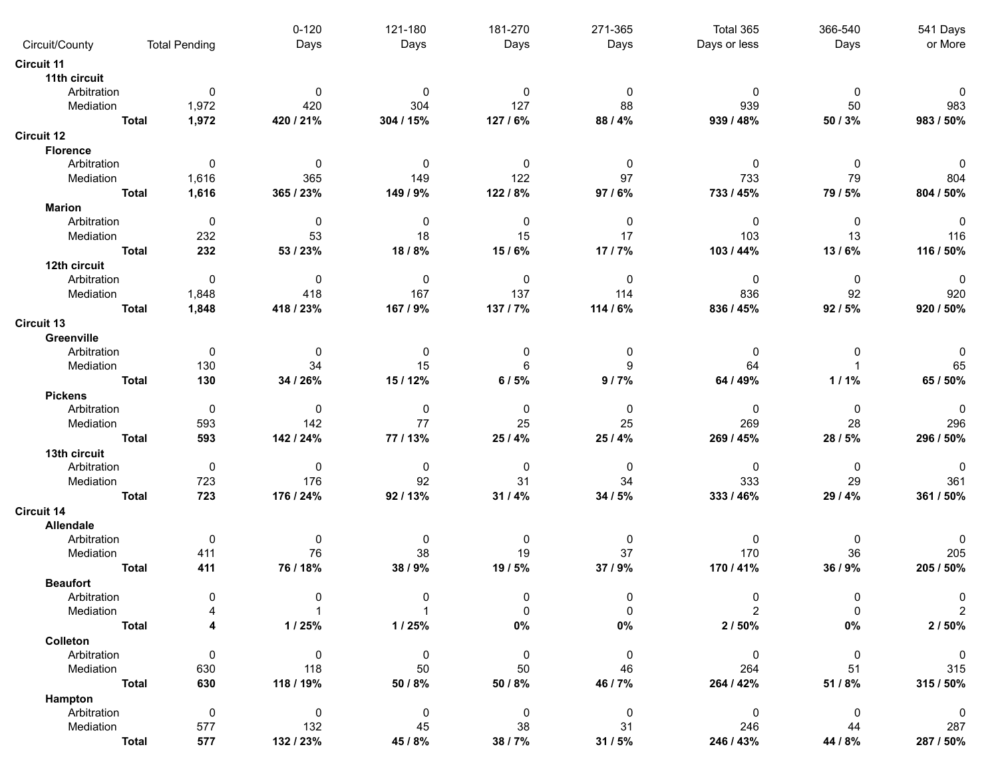|                        |              |                      | $0 - 120$      | 121-180   | 181-270     | 271-365     | Total 365      | 366-540        | 541 Days                 |
|------------------------|--------------|----------------------|----------------|-----------|-------------|-------------|----------------|----------------|--------------------------|
| Circuit/County         |              | <b>Total Pending</b> | Days           | Days      | Days        | Days        | Days or less   | Days           | or More                  |
| <b>Circuit 11</b>      |              |                      |                |           |             |             |                |                |                          |
| 11th circuit           |              |                      |                |           |             |             |                |                |                          |
| Arbitration            |              | 0                    | $\Omega$       | 0         | 0           | $\Omega$    | 0              | $\mathbf{0}$   | 0                        |
| Mediation              |              | 1,972                | 420            | 304       | 127         | 88          | 939            | 50             | 983                      |
|                        | <b>Total</b> | 1,972                | 420 / 21%      | 304 / 15% | 127 / 6%    | 88 / 4%     | 939 / 48%      | 50 / 3%        | 983 / 50%                |
| <b>Circuit 12</b>      |              |                      |                |           |             |             |                |                |                          |
| <b>Florence</b>        |              |                      |                |           |             |             |                |                |                          |
| Arbitration            |              | 0                    | $\overline{0}$ | 0         | 0           | 0           | $\mathbf 0$    | $\mathbf{0}$   | 0                        |
| Mediation              |              | 1,616                | 365            | 149       | 122         | 97          | 733            | 79             | 804                      |
|                        | <b>Total</b> | 1,616                | 365 / 23%      | 149 / 9%  | 122/8%      | 97/6%       | 733 / 45%      | 79 / 5%        | 804 / 50%                |
| <b>Marion</b>          |              |                      |                |           |             |             |                |                |                          |
| Arbitration            |              | $\overline{0}$       | $\mathbf 0$    | $\pmb{0}$ | 0           | 0           | $\mathbf 0$    | 0              | $\mathbf 0$              |
| Mediation              |              | 232                  | 53             | 18        | 15          | 17          | 103            | 13             | 116                      |
|                        | <b>Total</b> | 232                  | 53 / 23%       | 18/8%     | 15/6%       | 17/7%       | 103 / 44%      | 13/6%          | 116 / 50%                |
| 12th circuit           |              |                      |                |           |             |             |                |                |                          |
| Arbitration            |              | 0                    | $\mathbf 0$    | 0         | 0           | $\mathbf 0$ | 0              | 0              | $\mathbf 0$              |
| Mediation              |              | 1,848                | 418            | 167       | 137         | 114         | 836            | 92             | 920                      |
|                        |              |                      |                |           |             |             |                |                | 920 / 50%                |
|                        | <b>Total</b> | 1,848                | 418 / 23%      | 167 / 9%  | 137/7%      | 114 / 6%    | 836 / 45%      | 92/5%          |                          |
| <b>Circuit 13</b>      |              |                      |                |           |             |             |                |                |                          |
| Greenville             |              |                      |                |           |             |             |                |                |                          |
| Arbitration            |              | 0                    | 0              | 0         | 0           | 0           | 0              | 0              |                          |
| Mediation              |              | 130                  | 34             | 15        | 6           | 9           | 64             |                | 65                       |
|                        | <b>Total</b> | 130                  | 34 / 26%       | 15 / 12%  | 6/5%        | 9/7%        | 64 / 49%       | 1/1%           | 65 / 50%                 |
| <b>Pickens</b>         |              |                      |                |           |             |             |                |                |                          |
| Arbitration            |              | 0                    | $\mathbf 0$    | 0         | 0           | 0           | $\mathbf 0$    | $\mathbf{0}$   | $\Omega$                 |
| Mediation              |              | 593                  | 142            | 77        | 25          | 25          | 269            | 28             | 296                      |
|                        | <b>Total</b> | 593                  | 142 / 24%      | 77/13%    | 25/4%       | 25 / 4%     | 269 / 45%      | 28/5%          | 296 / 50%                |
| 13th circuit           |              |                      |                |           |             |             |                |                |                          |
| Arbitration            |              | 0                    | $\mathbf 0$    | 0         | 0           | 0           | 0              | $\mathbf{0}$   | 0                        |
| Mediation              |              | 723                  | 176            | 92        | 31          | 34          | 333            | 29             | 361                      |
|                        | <b>Total</b> | 723                  | 176 / 24%      | 92/13%    | 31/4%       | 34 / 5%     | 333 / 46%      | 29 / 4%        | 361 / 50%                |
| Circuit 14             |              |                      |                |           |             |             |                |                |                          |
| Allendale              |              |                      |                |           |             |             |                |                |                          |
| Arbitration            |              | 0                    | 0              | 0         | 0           | 0           | 0              | 0              | 0                        |
| Mediation              |              | 411                  | 76             | 38        | 19          | 37          | 170            | 36             | 205                      |
|                        | <b>Total</b> | 411                  | 76 / 18%       | 38 / 9%   | 19 / 5%     | 37 / 9%     | 170 / 41%      | 36 / 9%        | 205 / 50%                |
| <b>Beaufort</b>        |              |                      |                |           |             |             |                |                |                          |
| Arbitration            |              | 0                    | 0              | O         | 0           | 0           | $\Omega$       | 0              | 0                        |
| Mediation              |              |                      |                |           | $\Omega$    | $\Omega$    |                |                |                          |
|                        | <b>Total</b> |                      | 1/25%          | 1/25%     | $0\%$       | $0\%$       | 2/50%          | $0\%$          | 2/50%                    |
| Colleton               |              |                      |                |           |             |             |                |                |                          |
| Arbitration            |              | $\mathbf 0$          | $\overline{0}$ | 0         | 0           | $\mathbf 0$ | $\mathbf 0$    | $\overline{0}$ | $\overline{\phantom{0}}$ |
| Mediation              |              | 630                  | 118            | 50        | 50          | 46          | 264            | 51             | 315                      |
|                        | <b>Total</b> | 630                  | 118 / 19%      | 50 / 8%   | 50 / 8%     | 46 / 7%     | 264 / 42%      | 51 / 8%        | 315 / 50%                |
|                        |              |                      |                |           |             |             |                |                |                          |
| Hampton<br>Arbitration |              | $\pmb{0}$            | $\mathsf 0$    | $\pmb{0}$ | $\mathbf 0$ | $\pmb{0}$   | $\overline{0}$ | $\mathbf 0$    | $\overline{0}$           |
| Mediation              |              | 577                  | 132            | 45        | 38          | 31          | 246            | 44             | 287                      |
|                        | <b>Total</b> | 577                  | 132 / 23%      | 45 / 8%   | 38 / 7%     | 31/5%       | 246 / 43%      | 44 / 8%        | 287 / 50%                |
|                        |              |                      |                |           |             |             |                |                |                          |